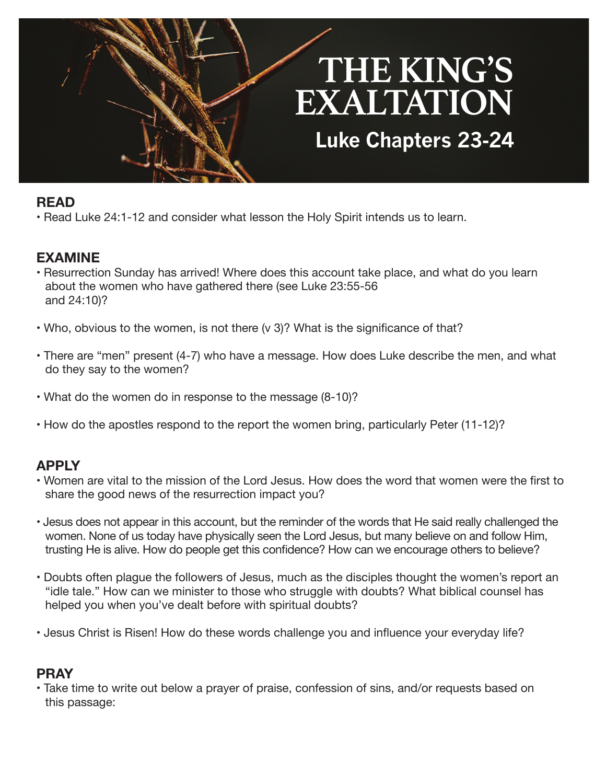# **THE KING'S EXALTATION Luke Chapters 23-24**

## **READ**

• Read Luke 24:1-12 and consider what lesson the Holy Spirit intends us to learn.

### **EXAMINE**

- Resurrection Sunday has arrived! Where does this account take place, and what do you learn about the women who have gathered there (see Luke 23:55-56 and 24:10)?
- Who, obvious to the women, is not there (v 3)? What is the significance of that?
- There are "men" present (4-7) who have a message. How does Luke describe the men, and what do they say to the women?
- What do the women do in response to the message (8-10)?
- How do the apostles respond to the report the women bring, particularly Peter (11-12)?

### **APPLY**

- Women are vital to the mission of the Lord Jesus. How does the word that women were the first to share the good news of the resurrection impact you?
- Jesus does not appear in this account, but the reminder of the words that He said really challenged the women. None of us today have physically seen the Lord Jesus, but many believe on and follow Him, trusting He is alive. How do people get this confidence? How can we encourage others to believe?
- Doubts often plague the followers of Jesus, much as the disciples thought the women's report an "idle tale." How can we minister to those who struggle with doubts? What biblical counsel has helped you when you've dealt before with spiritual doubts?
- Jesus Christ is Risen! How do these words challenge you and influence your everyday life?

### **PRAY**

• Take time to write out below a prayer of praise, confession of sins, and/or requests based on this passage: